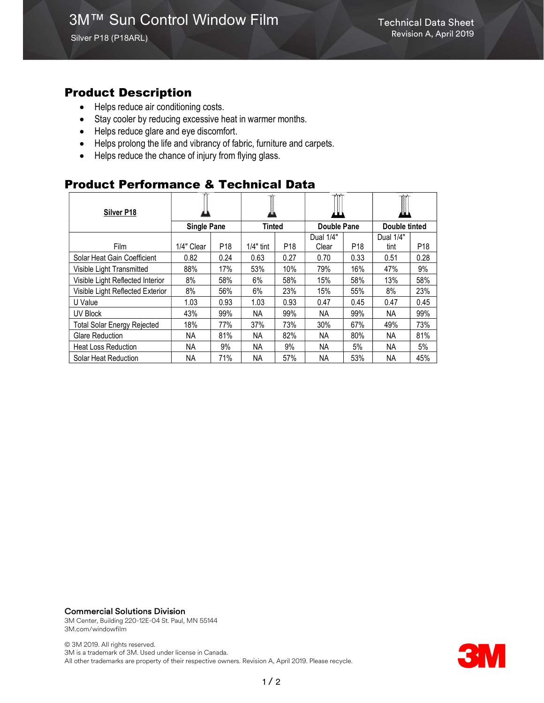Silver P18 (P18ARL)

### Product Description

- Helps reduce air conditioning costs.
- Stay cooler by reducing excessive heat in warmer months.
- Helps reduce glare and eye discomfort.
- Helps prolong the life and vibrancy of fabric, furniture and carpets.
- Helps reduce the chance of injury from flying glass.

## Product Performance & Technical Data

| Silver P18                         |                    |                 |               |                 |                    |                 | I             |                 |
|------------------------------------|--------------------|-----------------|---------------|-----------------|--------------------|-----------------|---------------|-----------------|
|                                    | <b>Single Pane</b> |                 | <b>Tinted</b> |                 | <b>Double Pane</b> |                 | Double tinted |                 |
|                                    |                    |                 |               |                 | Dual 1/4"          |                 | Dual 1/4"     |                 |
| Film                               | 1/4" Clear         | P <sub>18</sub> | $1/4"$ tint   | P <sub>18</sub> | Clear              | P <sub>18</sub> | tint          | P <sub>18</sub> |
| Solar Heat Gain Coefficient        | 0.82               | 0.24            | 0.63          | 0.27            | 0.70               | 0.33            | 0.51          | 0.28            |
| Visible Light Transmitted          | 88%                | 17%             | 53%           | 10%             | 79%                | 16%             | 47%           | 9%              |
| Visible Light Reflected Interior   | 8%                 | 58%             | 6%            | 58%             | 15%                | 58%             | 13%           | 58%             |
| Visible Light Reflected Exterior   | 8%                 | 56%             | 6%            | 23%             | 15%                | 55%             | 8%            | 23%             |
| U Value                            | 1.03               | 0.93            | 1.03          | 0.93            | 0.47               | 0.45            | 0.47          | 0.45            |
| <b>UV Block</b>                    | 43%                | 99%             | NА            | 99%             | ΝA                 | 99%             | ΝA            | 99%             |
| <b>Total Solar Energy Rejected</b> | 18%                | 77%             | 37%           | 73%             | 30%                | 67%             | 49%           | 73%             |
| <b>Glare Reduction</b>             | <b>NA</b>          | 81%             | <b>NA</b>     | 82%             | <b>NA</b>          | 80%             | <b>NA</b>     | 81%             |
| <b>Heat Loss Reduction</b>         | <b>NA</b>          | 9%              | NА            | 9%              | <b>NA</b>          | 5%              | NA            | 5%              |
| Solar Heat Reduction               | NA.                | 71%             | NА            | 57%             | ΝA                 | 53%             | ΝA            | 45%             |

#### Commercial Solutions Division

3M Center, Building 220-12E-04 St. Paul, MN 55144 3M.com/windowfilm

© 3M 2019. All rights reserved. 3M is a trademark of 3M. Used under license in Canada. All other trademarks are property of their respective owners. Revision A, April 2019. Please recycle.